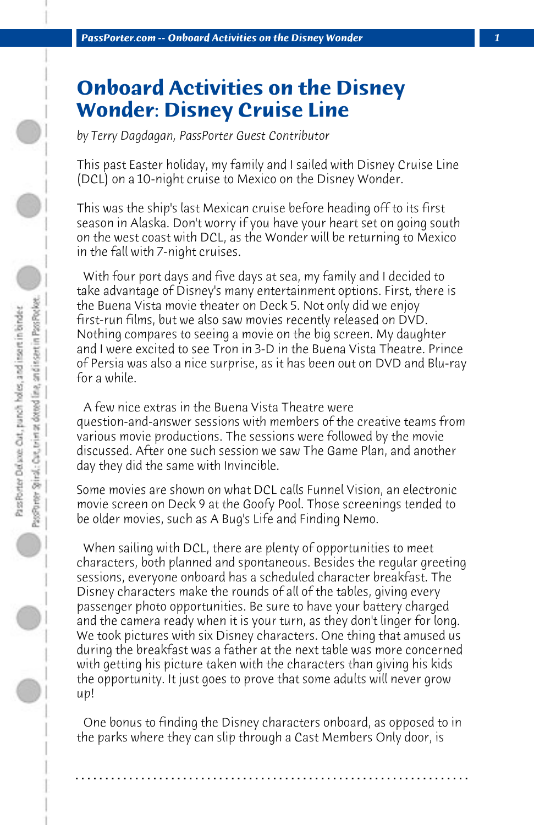## **Onboard Activities on the Disney Wonder: Disney Cruise Line**

*by Terry Dagdagan, PassPorter Guest Contributor*

This past Easter holiday, my family and I sailed with Disney Cruise Line (DCL) on a 10-night cruise to Mexico on the Disney Wonder.

This was the ship's last Mexican cruise before heading off to its first season in Alaska. Don't worry if you have your heart set on going south on the west coast with DCL, as the Wonder will be returning to Mexico in the fall with 7-night cruises.

 With four port days and five days at sea, my family and I decided to take advantage of Disney's many entertainment options. First, there is the Buena Vista movie theater on Deck 5. Not only did we enjoy first-run films, but we also saw movies recently released on DVD. Nothing compares to seeing a movie on the big screen. My daughter and I were excited to see Tron in 3-D in the Buena Vista Theatre. Prince of Persia was also a nice surprise, as it has been out on DVD and Blu-ray for a while.

 A few nice extras in the Buena Vista Theatre were question-and-answer sessions with members of the creative teams from various movie productions. The sessions were followed by the movie discussed. After one such session we saw The Game Plan, and another day they did the same with Invincible.

Some movies are shown on what DCL calls Funnel Vision, an electronic movie screen on Deck 9 at the Goofy Pool. Those screenings tended to be older movies, such as A Bug's Life and Finding Nemo.

 When sailing with DCL, there are plenty of opportunities to meet characters, both planned and spontaneous. Besides the regular greeting sessions, everyone onboard has a scheduled character breakfast. The Disney characters make the rounds of all of the tables, giving every passenger photo opportunities. Be sure to have your battery charged and the camera ready when it is your turn, as they don't linger for long. We took pictures with six Disney characters. One thing that amused us during the breakfast was a father at the next table was more concerned with getting his picture taken with the characters than giving his kids the opportunity. It just goes to prove that some adults will never grow up!

 One bonus to finding the Disney characters onboard, as opposed to in the parks where they can slip through a Cast Members Only door, is

**. . . . . . . . . . . . . . . . . . . . . . . . . . . . . . . . . . . . . . . . . . . . . . . . . . . . . . . . . . . . . . . . . .**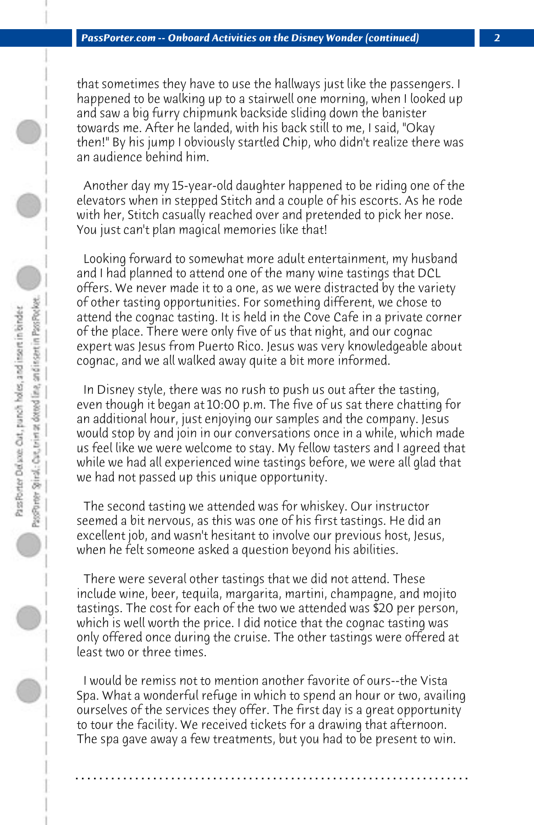that sometimes they have to use the hallways just like the passengers. I happened to be walking up to a stairwell one morning, when I looked up and saw a big furry chipmunk backside sliding down the banister towards me. After he landed, with his back still to me, I said, "Okay then!" By his jump I obviously startled Chip, who didn't realize there was an audience behind him.

 Another day my 15-year-old daughter happened to be riding one of the elevators when in stepped Stitch and a couple of his escorts. As he rode with her, Stitch casually reached over and pretended to pick her nose. You just can't plan magical memories like that!

 Looking forward to somewhat more adult entertainment, my husband and I had planned to attend one of the many wine tastings that DCL offers. We never made it to a one, as we were distracted by the variety of other tasting opportunities. For something different, we chose to attend the cognac tasting. It is held in the Cove Cafe in a private corner of the place. There were only five of us that night, and our cognac expert was Jesus from Puerto Rico. Jesus was very knowledgeable about cognac, and we all walked away quite a bit more informed.

 In Disney style, there was no rush to push us out after the tasting, even though it began at 10:00 p.m. The five of us sat there chatting for an additional hour, just enjoying our samples and the company. Jesus would stop by and join in our conversations once in a while, which made us feel like we were welcome to stay. My fellow tasters and I agreed that while we had all experienced wine tastings before, we were all glad that we had not passed up this unique opportunity.

 The second tasting we attended was for whiskey. Our instructor seemed a bit nervous, as this was one of his first tastings. He did an excellent job, and wasn't hesitant to involve our previous host, Jesus, when he felt someone asked a question beyond his abilities.

 There were several other tastings that we did not attend. These include wine, beer, tequila, margarita, martini, champagne, and mojito tastings. The cost for each of the two we attended was \$20 per person, which is well worth the price. I did notice that the cognac tasting was only offered once during the cruise. The other tastings were offered at least two or three times.

 I would be remiss not to mention another favorite of ours--the Vista Spa. What a wonderful refuge in which to spend an hour or two, availing ourselves of the services they offer. The first day is a great opportunity to tour the facility. We received tickets for a drawing that afternoon. The spa gave away a few treatments, but you had to be present to win.

**. . . . . . . . . . . . . . . . . . . . . . . . . . . . . . . . . . . . . . . . . . . . . . . . . . . . . . . . . . . . . . . . . .**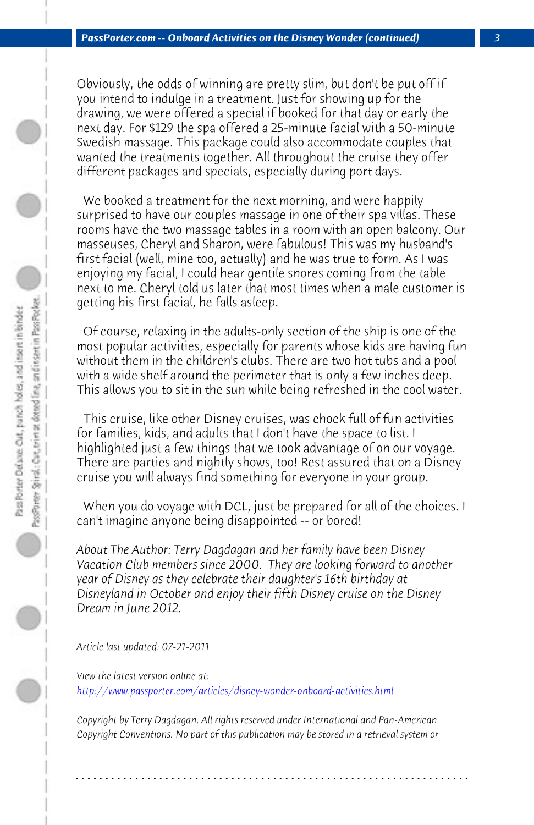*PassPorter.com -- Onboard Activities on the Disney Wonder (continued) 3*

Obviously, the odds of winning are pretty slim, but don't be put off if you intend to indulge in a treatment. Just for showing up for the drawing, we were offered a special if booked for that day or early the next day. For \$129 the spa offered a 25-minute facial with a 50-minute Swedish massage. This package could also accommodate couples that wanted the treatments together. All throughout the cruise they offer different packages and specials, especially during port days.

 We booked a treatment for the next morning, and were happily surprised to have our couples massage in one of their spa villas. These rooms have the two massage tables in a room with an open balcony. Our masseuses, Cheryl and Sharon, were fabulous! This was my husband's first facial (well, mine too, actually) and he was true to form. As I was enjoying my facial, I could hear gentile snores coming from the table next to me. Cheryl told us later that most times when a male customer is getting his first facial, he falls asleep.

 Of course, relaxing in the adults-only section of the ship is one of the most popular activities, especially for parents whose kids are having fun without them in the children's clubs. There are two hot tubs and a pool with a wide shelf around the perimeter that is only a few inches deep. This allows you to sit in the sun while being refreshed in the cool water.

 This cruise, like other Disney cruises, was chock full of fun activities for families, kids, and adults that I don't have the space to list. I [highlighted just a few things that we took advantage of on o](http://www.passporter.com/articles/disney-wonder-onboard-activities.php)ur voyage. There are parties and nightly shows, too! Rest assured that on a Disney cruise you will always find something for everyone in your group.

 When you do voyage with DCL, just be prepared for all of the choices. I can't imagine anyone being disappointed -- or bored!

*About The Author: Terry Dagdagan and her family have been Disney Vacation Club members since 2000. They are looking forward to another year of Disney as they celebrate their daughter's 16th birthday at Disneyland in October and enjoy their fifth Disney cruise on the Disney Dream in June 2012.*

*Article last updated: 07-21-2011*

*View the latest version online at: http://www.passporter.com/articles/disney-wonder-onboard-activities.html*

*Copyright by Terry Dagdagan. All rights reserved under International and Pan-American Copyright Conventions. No part of this publication may be stored in a retrieval system or*

**. . . . . . . . . . . . . . . . . . . . . . . . . . . . . . . . . . . . . . . . . . . . . . . . . . . . . . . . . . . . . . . . . .**